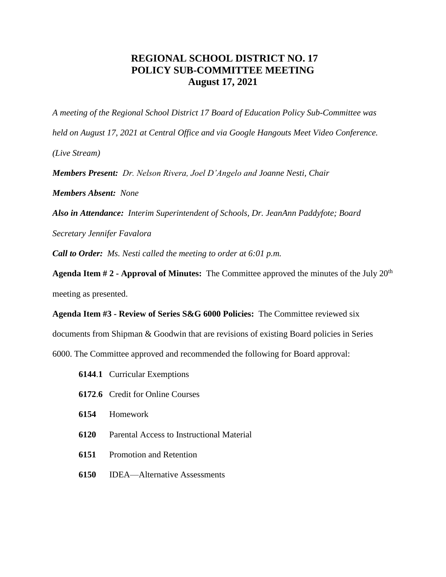## **REGIONAL SCHOOL DISTRICT NO. 17 POLICY SUB-COMMITTEE MEETING August 17, 2021**

*A meeting of the Regional School District 17 Board of Education Policy Sub-Committee was* 

*held on August 17, 2021 at Central Office and via Google Hangouts Meet Video Conference.*

*(Live Stream)*

*Members Present: Dr. Nelson Rivera, Joel D'Angelo and Joanne Nesti, Chair*

*Members Absent: None*

*Also in Attendance: Interim Superintendent of Schools, Dr. JeanAnn Paddyfote; Board* 

*Secretary Jennifer Favalora*

*Call to Order: Ms. Nesti called the meeting to order at 6:01 p.m.*

**Agenda Item # 2 - Approval of Minutes:** The Committee approved the minutes of the July 20th meeting as presented.

**Agenda Item #3 - Review of Series S&G 6000 Policies:** The Committee reviewed six documents from Shipman & Goodwin that are revisions of existing Board policies in Series 6000. The Committee approved and recommended the following for Board approval:

- **6144**.**1** Curricular Exemptions
- **6172**.**6** Credit for Online Courses
- **6154** Homework
- **6120** Parental Access to Instructional Material
- **6151** Promotion and Retention
- **6150** IDEA—Alternative Assessments